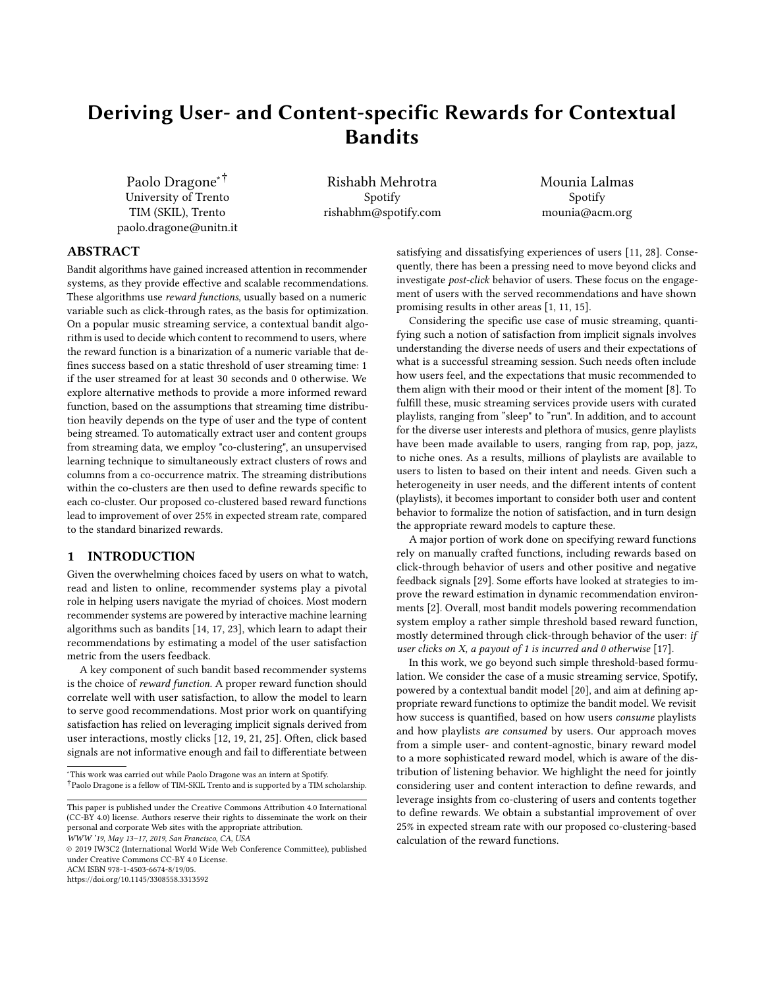# Deriving User- and Content-specific Rewards for Contextual Bandits

Paolo Dragone∗† University of Trento TIM (SKIL), Trento paolo.dragone@unitn.it

Rishabh Mehrotra Spotify rishabhm@spotify.com Mounia Lalmas Spotify mounia@acm.org

# ABSTRACT

Bandit algorithms have gained increased attention in recommender systems, as they provide effective and scalable recommendations. These algorithms use reward functions, usually based on a numeric variable such as click-through rates, as the basis for optimization. On a popular music streaming service, a contextual bandit algorithm is used to decide which content to recommend to users, where the reward function is a binarization of a numeric variable that defines success based on a static threshold of user streaming time: 1 if the user streamed for at least 30 seconds and 0 otherwise. We explore alternative methods to provide a more informed reward function, based on the assumptions that streaming time distribution heavily depends on the type of user and the type of content being streamed. To automatically extract user and content groups from streaming data, we employ "co-clustering", an unsupervised learning technique to simultaneously extract clusters of rows and columns from a co-occurrence matrix. The streaming distributions within the co-clusters are then used to define rewards specific to each co-cluster. Our proposed co-clustered based reward functions lead to improvement of over 25% in expected stream rate, compared to the standard binarized rewards.

# 1 INTRODUCTION

Given the overwhelming choices faced by users on what to watch, read and listen to online, recommender systems play a pivotal role in helping users navigate the myriad of choices. Most modern recommender systems are powered by interactive machine learning algorithms such as bandits [\[14,](#page-6-0) [17,](#page-6-1) [23\]](#page-6-2), which learn to adapt their recommendations by estimating a model of the user satisfaction metric from the users feedback.

A key component of such bandit based recommender systems is the choice of reward function. A proper reward function should correlate well with user satisfaction, to allow the model to learn to serve good recommendations. Most prior work on quantifying satisfaction has relied on leveraging implicit signals derived from user interactions, mostly clicks [\[12,](#page-6-3) [19,](#page-6-4) [21,](#page-6-5) [25\]](#page-6-6). Often, click based signals are not informative enough and fail to differentiate between

<sup>∗</sup>This work was carried out while Paolo Dragone was an intern at Spotify. †Paolo Dragone is a fellow of TIM-SKIL Trento and is supported by a TIM scholarship.

© 2019 IW3C2 (International World Wide Web Conference Committee), published under Creative Commons CC-BY 4.0 License.

ACM ISBN 978-1-4503-6674-8/19/05.

<https://doi.org/10.1145/3308558.3313592>

satisfying and dissatisfying experiences of users [\[11,](#page-6-7) [28\]](#page-6-8). Consequently, there has been a pressing need to move beyond clicks and investigate post-click behavior of users. These focus on the engagement of users with the served recommendations and have shown promising results in other areas [\[1,](#page-6-9) [11,](#page-6-7) [15\]](#page-6-10).

Considering the specific use case of music streaming, quantifying such a notion of satisfaction from implicit signals involves understanding the diverse needs of users and their expectations of what is a successful streaming session. Such needs often include how users feel, and the expectations that music recommended to them align with their mood or their intent of the moment [\[8\]](#page-6-11). To fulfill these, music streaming services provide users with curated playlists, ranging from "sleep" to "run". In addition, and to account for the diverse user interests and plethora of musics, genre playlists have been made available to users, ranging from rap, pop, jazz, to niche ones. As a results, millions of playlists are available to users to listen to based on their intent and needs. Given such a heterogeneity in user needs, and the different intents of content (playlists), it becomes important to consider both user and content behavior to formalize the notion of satisfaction, and in turn design the appropriate reward models to capture these.

A major portion of work done on specifying reward functions rely on manually crafted functions, including rewards based on click-through behavior of users and other positive and negative feedback signals [\[29\]](#page-6-12). Some efforts have looked at strategies to improve the reward estimation in dynamic recommendation environments [\[2\]](#page-6-13). Overall, most bandit models powering recommendation system employ a rather simple threshold based reward function, mostly determined through click-through behavior of the user: if user clicks on X, a payout of 1 is incurred and 0 otherwise [\[17\]](#page-6-1).

In this work, we go beyond such simple threshold-based formulation. We consider the case of a music streaming service, Spotify, powered by a contextual bandit model [\[20\]](#page-6-14), and aim at defining appropriate reward functions to optimize the bandit model. We revisit how success is quantified, based on how users consume playlists and how playlists are consumed by users. Our approach moves from a simple user- and content-agnostic, binary reward model to a more sophisticated reward model, which is aware of the distribution of listening behavior. We highlight the need for jointly considering user and content interaction to define rewards, and leverage insights from co-clustering of users and contents together to define rewards. We obtain a substantial improvement of over 25% in expected stream rate with our proposed co-clustering-based calculation of the reward functions.

This paper is published under the Creative Commons Attribution 4.0 International (CC-BY 4.0) license. Authors reserve their rights to disseminate the work on their personal and corporate Web sites with the appropriate attribution.

WWW '19, May 13–17, 2019, San Francisco, CA, USA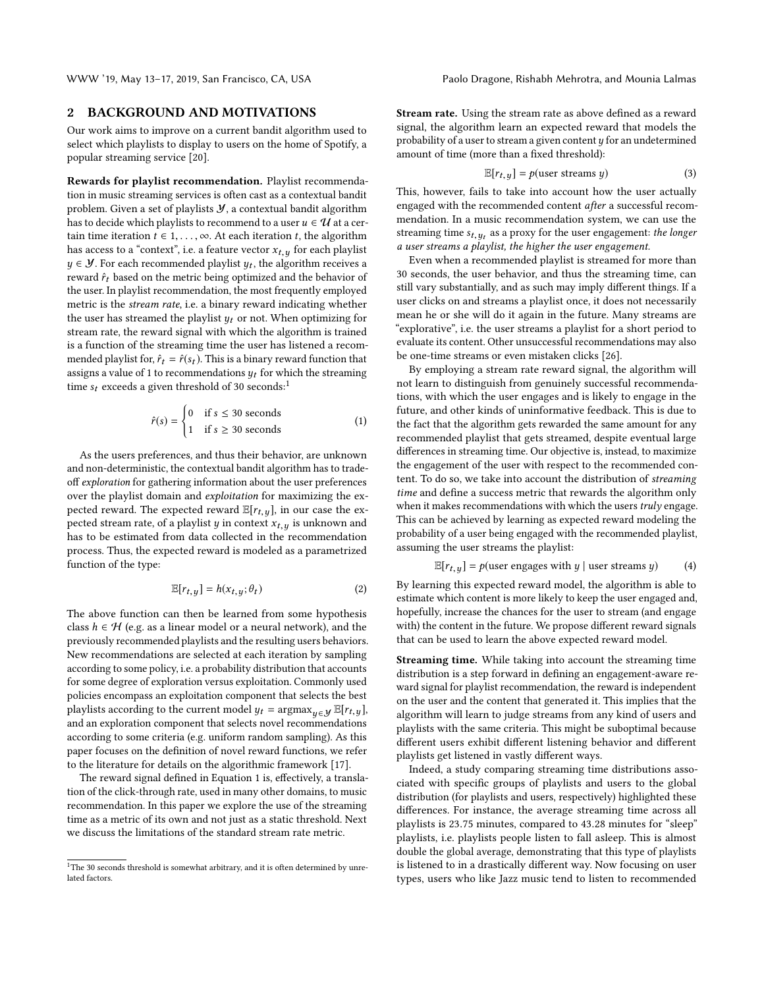# 2 BACKGROUND AND MOTIVATIONS

Our work aims to improve on a current bandit algorithm used to select which playlists to display to users on the home of Spotify, a popular streaming service [\[20\]](#page-6-14).

Rewards for playlist recommendation. Playlist recommendation in music streaming services is often cast as a contextual bandit problem. Given a set of playlists  $\mathcal{Y}$ , a contextual bandit algorithm has to decide which playlists to recommend to a user  $u \in \mathcal{U}$  at a certain time iteration  $t \in 1, \ldots, \infty$ . At each iteration  $t$ , the algorithm has access to a "context", i.e. a feature vector  $x_{t,y}$  for each playlist  $y \in \mathcal{Y}$ . For each recommended playlist  $y_t$ , the algorithm receives a repared  $\hat{y}$ , based on the metric being optimized and the behavior of reward  $\hat{r}_t$  based on the metric being optimized and the behavior of the user. In playlist recommendation, the most frequently employed metric is the stream rate, i.e. a binary reward indicating whether the user has streamed the playlist  $y_t$  or not. When optimizing for stream rate, the reward signal with which the algorithm is trained is a function of the streaming time the user has listened a recommended playlist for,  $\hat{r}_t = \hat{r}(s_t)$ . This is a binary reward function that assigns a value of 1 to recommendations  $y_t$  for which the streaming time  $s_t$  exceeds a given threshold of 30 seconds:<sup>[1](#page-1-0)</sup>

<span id="page-1-1"></span>
$$
\hat{r}(s) = \begin{cases} 0 & \text{if } s \le 30 \text{ seconds} \\ 1 & \text{if } s \ge 30 \text{ seconds} \end{cases}
$$
 (1)

As the users preferences, and thus their behavior, are unknown and non-deterministic, the contextual bandit algorithm has to tradeoff exploration for gathering information about the user preferences over the playlist domain and exploitation for maximizing the expected reward. The expected reward  $\mathbb{E}[r_{t,y}]$ , in our case the expected stream rate, of a playlist y in context  $x_{t,y}$  is unknown and has to be estimated from data collected in the recommendation process. Thus, the expected reward is modeled as a parametrized function of the type:

$$
\mathbb{E}[r_{t,y}] = h(x_{t,y}; \theta_t) \tag{2}
$$

The above function can then be learned from some hypothesis class  $h \in \mathcal{H}$  (e.g. as a linear model or a neural network), and the previously recommended playlists and the resulting users behaviors. New recommendations are selected at each iteration by sampling according to some policy, i.e. a probability distribution that accounts for some degree of exploration versus exploitation. Commonly used policies encompass an exploitation component that selects the best playlists according to the current model  $y_t = \argmax_{u \in \mathcal{Y}} \mathbb{E}[r_{t,u}],$ and an exploration component that selects novel recommendations according to some criteria (e.g. uniform random sampling). As this paper focuses on the definition of novel reward functions, we refer to the literature for details on the algorithmic framework [\[17\]](#page-6-1).

The reward signal defined in Equation [1](#page-1-1) is, effectively, a translation of the click-through rate, used in many other domains, to music recommendation. In this paper we explore the use of the streaming time as a metric of its own and not just as a static threshold. Next we discuss the limitations of the standard stream rate metric.

Stream rate. Using the stream rate as above defined as a reward signal, the algorithm learn an expected reward that models the probability of a user to stream a given content  $y$  for an undetermined amount of time (more than a fixed threshold):

$$
\mathbb{E}[r_{t,y}] = p(\text{user streams } y)
$$
 (3)

This, however, fails to take into account how the user actually engaged with the recommended content after a successful recommendation. In a music recommendation system, we can use the streaming time  $s_{t, y_t}$  as a proxy for the user engagement: the longer<br>a user streams a playlist, the higher the user engagement a user streams a playlist, the higher the user engagement.

Even when a recommended playlist is streamed for more than 30 seconds, the user behavior, and thus the streaming time, can still vary substantially, and as such may imply different things. If a user clicks on and streams a playlist once, it does not necessarily mean he or she will do it again in the future. Many streams are "explorative", i.e. the user streams a playlist for a short period to evaluate its content. Other unsuccessful recommendations may also be one-time streams or even mistaken clicks [\[26\]](#page-6-15).

By employing a stream rate reward signal, the algorithm will not learn to distinguish from genuinely successful recommendations, with which the user engages and is likely to engage in the future, and other kinds of uninformative feedback. This is due to the fact that the algorithm gets rewarded the same amount for any recommended playlist that gets streamed, despite eventual large differences in streaming time. Our objective is, instead, to maximize the engagement of the user with respect to the recommended content. To do so, we take into account the distribution of streaming time and define a success metric that rewards the algorithm only when it makes recommendations with which the users truly engage. This can be achieved by learning as expected reward modeling the probability of a user being engaged with the recommended playlist, assuming the user streams the playlist:

$$
\mathbb{E}[r_{t,y}] = p(\text{user engages with } y \mid \text{user streams } y)
$$
 (4)

By learning this expected reward model, the algorithm is able to estimate which content is more likely to keep the user engaged and, hopefully, increase the chances for the user to stream (and engage with) the content in the future. We propose different reward signals that can be used to learn the above expected reward model.

Streaming time. While taking into account the streaming time distribution is a step forward in defining an engagement-aware reward signal for playlist recommendation, the reward is independent on the user and the content that generated it. This implies that the algorithm will learn to judge streams from any kind of users and playlists with the same criteria. This might be suboptimal because different users exhibit different listening behavior and different playlists get listened in vastly different ways.

Indeed, a study comparing streaming time distributions associated with specific groups of playlists and users to the global distribution (for playlists and users, respectively) highlighted these differences. For instance, the average streaming time across all playlists is <sup>23</sup>.<sup>75</sup> minutes, compared to <sup>43</sup>.<sup>28</sup> minutes for "sleep" playlists, i.e. playlists people listen to fall asleep. This is almost double the global average, demonstrating that this type of playlists is listened to in a drastically different way. Now focusing on user types, users who like Jazz music tend to listen to recommended

<span id="page-1-0"></span> $1$ <sup>1</sup>The 30 seconds threshold is somewhat arbitrary, and it is often determined by unrelated factors.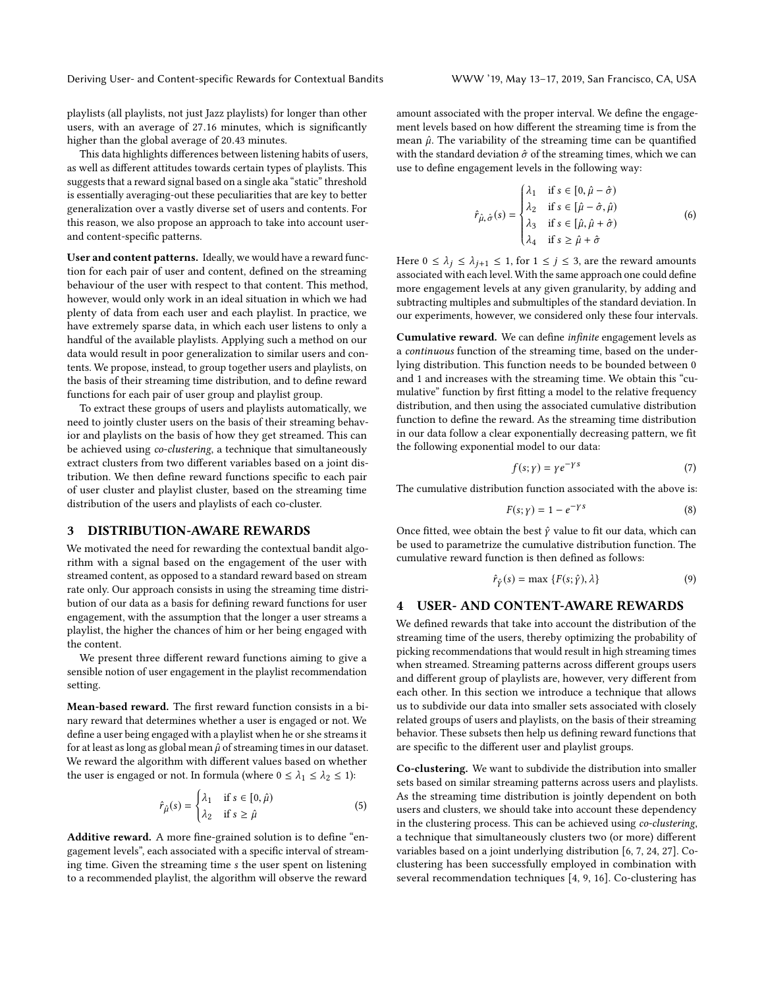Deriving User- and Content-specific Rewards for Contextual Bandits WWW '19, May 13–17, 2019, San Francisco, CA, USA

playlists (all playlists, not just Jazz playlists) for longer than other users, with an average of <sup>27</sup>.<sup>16</sup> minutes, which is significantly higher than the global average of <sup>20</sup>.<sup>43</sup> minutes.

This data highlights differences between listening habits of users, as well as different attitudes towards certain types of playlists. This suggests that a reward signal based on a single aka "static" threshold is essentially averaging-out these peculiarities that are key to better generalization over a vastly diverse set of users and contents. For this reason, we also propose an approach to take into account userand content-specific patterns.

User and content patterns. Ideally, we would have a reward function for each pair of user and content, defined on the streaming behaviour of the user with respect to that content. This method, however, would only work in an ideal situation in which we had plenty of data from each user and each playlist. In practice, we have extremely sparse data, in which each user listens to only a handful of the available playlists. Applying such a method on our data would result in poor generalization to similar users and contents. We propose, instead, to group together users and playlists, on the basis of their streaming time distribution, and to define reward functions for each pair of user group and playlist group.

To extract these groups of users and playlists automatically, we need to jointly cluster users on the basis of their streaming behavior and playlists on the basis of how they get streamed. This can be achieved using co-clustering, a technique that simultaneously extract clusters from two different variables based on a joint distribution. We then define reward functions specific to each pair of user cluster and playlist cluster, based on the streaming time distribution of the users and playlists of each co-cluster.

# <span id="page-2-0"></span>3 DISTRIBUTION-AWARE REWARDS

We motivated the need for rewarding the contextual bandit algorithm with a signal based on the engagement of the user with streamed content, as opposed to a standard reward based on stream rate only. Our approach consists in using the streaming time distribution of our data as a basis for defining reward functions for user engagement, with the assumption that the longer a user streams a playlist, the higher the chances of him or her being engaged with the content.

We present three different reward functions aiming to give a sensible notion of user engagement in the playlist recommendation setting.

Mean-based reward. The first reward function consists in a binary reward that determines whether a user is engaged or not. We define a user being engaged with a playlist when he or she streams it for at least as long as global mean  $\hat{\mu}$  of streaming times in our dataset. We reward the algorithm with different values based on whether the user is engaged or not. In formula (where  $0 \leq \lambda_1 \leq \lambda_2 \leq 1$ ):

$$
\hat{r}_{\hat{\mu}}(s) = \begin{cases} \lambda_1 & \text{if } s \in [0, \hat{\mu}) \\ \lambda_2 & \text{if } s \ge \hat{\mu} \end{cases} \tag{5}
$$

Additive reward. A more fine-grained solution is to define "engagement levels", each associated with a specific interval of streaming time. Given the streaming time s the user spent on listening to a recommended playlist, the algorithm will observe the reward

amount associated with the proper interval. We define the engagement levels based on how different the streaming time is from the mean  $\hat{\mu}$ . The variability of the streaming time can be quantified with the standard deviation  $\hat{\sigma}$  of the streaming times, which we can use to define engagement levels in the following way:

$$
\hat{r}_{\hat{\mu},\hat{\sigma}}(s) = \begin{cases}\n\lambda_1 & \text{if } s \in [0, \hat{\mu} - \hat{\sigma}) \\
\lambda_2 & \text{if } s \in [\hat{\mu} - \hat{\sigma}, \hat{\mu}) \\
\lambda_3 & \text{if } s \in [\hat{\mu}, \hat{\mu} + \hat{\sigma}) \\
\lambda_4 & \text{if } s \ge \hat{\mu} + \hat{\sigma}\n\end{cases}
$$
\n(6)

Here  $0 \leq \lambda_j \leq \lambda_{j+1} \leq 1$ , for  $1 \leq j \leq 3$ , are the reward amounts associated with each level. With the same approach one could define more engagement levels at any given granularity, by adding and subtracting multiples and submultiples of the standard deviation. In our experiments, however, we considered only these four intervals.

J

Cumulative reward. We can define infinite engagement levels as a continuous function of the streaming time, based on the underlying distribution. This function needs to be bounded between 0 and 1 and increases with the streaming time. We obtain this "cumulative" function by first fitting a model to the relative frequency distribution, and then using the associated cumulative distribution function to define the reward. As the streaming time distribution in our data follow a clear exponentially decreasing pattern, we fit the following exponential model to our data:

$$
f(s; \gamma) = \gamma e^{-\gamma s} \tag{7}
$$

The cumulative distribution function associated with the above is:

$$
F(s; \gamma) = 1 - e^{-\gamma s} \tag{8}
$$

Once fitted, wee obtain the best  $\hat{y}$  value to fit our data, which can be used to parametrize the cumulative distribution function. The cumulative reward function is then defined as follows:

$$
\hat{r}_{\hat{Y}}(s) = \max \{ F(s; \hat{Y}), \lambda \}
$$
\n(9)

# **USER- AND CONTENT-AWARE REWARDS**

We defined rewards that take into account the distribution of the streaming time of the users, thereby optimizing the probability of picking recommendations that would result in high streaming times when streamed. Streaming patterns across different groups users and different group of playlists are, however, very different from each other. In this section we introduce a technique that allows us to subdivide our data into smaller sets associated with closely related groups of users and playlists, on the basis of their streaming behavior. These subsets then help us defining reward functions that are specific to the different user and playlist groups.

Co-clustering. We want to subdivide the distribution into smaller sets based on similar streaming patterns across users and playlists. As the streaming time distribution is jointly dependent on both users and clusters, we should take into account these dependency in the clustering process. This can be achieved using co-clustering, a technique that simultaneously clusters two (or more) different variables based on a joint underlying distribution [\[6,](#page-6-16) [7,](#page-6-17) [24,](#page-6-18) [27\]](#page-6-19). Coclustering has been successfully employed in combination with several recommendation techniques [\[4,](#page-6-20) [9,](#page-6-21) [16\]](#page-6-22). Co-clustering has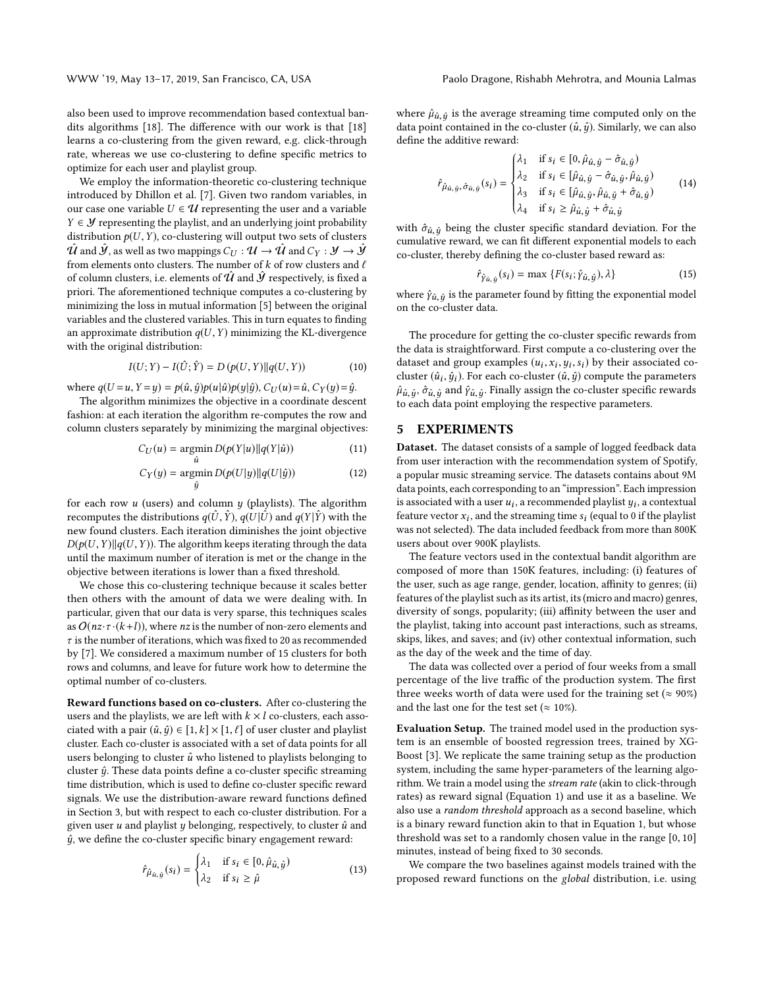WWW '19, May 13–17, 2019, San Francisco, CA, USA Paolo Dragone, Rishabh Mehrotra, and Mounia Lalmas

also been used to improve recommendation based contextual bandits algorithms [\[18\]](#page-6-23). The difference with our work is that [\[18\]](#page-6-23) learns a co-clustering from the given reward, e.g. click-through rate, whereas we use co-clustering to define specific metrics to optimize for each user and playlist group.

We employ the information-theoretic co-clustering technique introduced by Dhillon et al. [\[7\]](#page-6-17). Given two random variables, in our case one variable  $U \in \mathcal{U}$  representing the user and a variable  $Y \in \mathcal{Y}$  representing the playlist, and an underlying joint probability distribution  $p(U, Y)$ , co-clustering will output two sets of clusters  $\hat{\mathcal{U}}$  and  $\hat{\mathcal{Y}}$ , as well as two mappings  $C_U : \mathcal{U} \to \hat{\mathcal{U}}$  and  $C_Y : \mathcal{Y} \to \hat{\mathcal{Y}}$ from elements onto clusters. The number of  $k$  of row clusters and  $\ell$ of column clusters, i.e. elements of  $\hat{U}$  and  $\hat{Y}$  respectively, is fixed a priori. The aforementioned technique computes a co-clustering by minimizing the loss in mutual information [\[5\]](#page-6-24) between the original variables and the clustered variables. This in turn equates to finding an approximate distribution  $q(U, Y)$  minimizing the KL-divergence with the original distribution:

$$
I(U;Y) - I(\hat{U};\hat{Y}) = D(p(U,Y)||q(U,Y))
$$
 (10)

where  $q(U = u, Y = y) = p(\hat{u}, \hat{y})p(u|\hat{u})p(y|\hat{y}), C_U(u) = \hat{u}, C_Y(y) = \hat{y}$ .

The algorithm minimizes the objective in a coordinate descent fashion: at each iteration the algorithm re-computes the row and column clusters separately by minimizing the marginal objectives:

$$
C_U(u) = \underset{\hat{u}}{\operatorname{argmin}} D(p(Y|u) || q(Y|\hat{u}))
$$
\n(11)

$$
C_Y(y) = \underset{\hat{y}}{\operatorname{argmin}} D(p(U|y)||q(U|\hat{y}))
$$
\n(12)

for each row  $u$  (users) and column  $y$  (playlists). The algorithm recomputes the distributions  $q(\hat{U}, \hat{Y})$ ,  $q(U | \hat{U})$  and  $q(Y | \hat{Y})$  with the new found clusters. Each iteration diminishes the joint objective  $D(p(U, Y)||q(U, Y))$ . The algorithm keeps iterating through the data until the maximum number of iteration is met or the change in the objective between iterations is lower than a fixed threshold.

We chose this co-clustering technique because it scales better then others with the amount of data we were dealing with. In particular, given that our data is very sparse, this techniques scales as  $O(nz \cdot \tau \cdot (k+l))$ , where *nz* is the number of non-zero elements and  $\tau$  is the number of iterations, which was fixed to 20 as recommended by [\[7\]](#page-6-17). We considered a maximum number of 15 clusters for both rows and columns, and leave for future work how to determine the optimal number of co-clusters.

Reward functions based on co-clusters. After co-clustering the users and the playlists, we are left with  $k \times l$  co-clusters, each associated with a pair  $(\hat{u}, \hat{y}) \in [1, k] \times [1, \ell]$  of user cluster and playlist cluster. Each co-cluster is associated with a set of data points for all users belonging to cluster  $\hat{u}$  who listened to playlists belonging to cluster  $\hat{u}$ . These data points define a co-cluster specific streaming time distribution, which is used to define co-cluster specific reward signals. We use the distribution-aware reward functions defined in Section [3,](#page-2-0) but with respect to each co-cluster distribution. For a given user  $u$  and playlist  $y$  belonging, respectively, to cluster  $\hat{u}$  and  $\hat{y}$ , we define the co-cluster specific binary engagement reward:

$$
\hat{r}_{\hat{\mu}_{\hat{u},\hat{y}}}(s_i) = \begin{cases} \lambda_1 & \text{if } s_i \in [0, \hat{\mu}_{\hat{u},\hat{y}}) \\ \lambda_2 & \text{if } s_i \ge \hat{\mu} \end{cases}
$$
(13)

where  $\hat{\mu}_{\hat{u},\hat{y}}$  is the average streaming time computed only on the data point contained in the co-cluster  $(\hat{u}, \hat{v})$ . Similarly, we can also data point contained in the co-cluster  $(\hat{u}, \hat{y})$ . Similarly, we can also define the additive reward:

$$
\hat{r}_{\hat{\mu}_{\hat{u},\hat{y}},\hat{\sigma}_{\hat{u},\hat{y}}}(s_i) = \begin{cases}\n\lambda_1 & \text{if } s_i \in [0,\hat{\mu}_{\hat{u},\hat{y}} - \hat{\sigma}_{\hat{u},\hat{y}}) \\
\lambda_2 & \text{if } s_i \in [\hat{\mu}_{\hat{u},\hat{y}} - \hat{\sigma}_{\hat{u},\hat{y}}, \hat{\mu}_{\hat{u},\hat{y}}) \\
\lambda_3 & \text{if } s_i \in [\hat{\mu}_{\hat{u},\hat{y}}, \hat{\mu}_{\hat{u},\hat{y}} + \hat{\sigma}_{\hat{u},\hat{y}}) \\
\lambda_4 & \text{if } s_i \ge \hat{\mu}_{\hat{u},\hat{y}} + \hat{\sigma}_{\hat{u},\hat{y}}\n\end{cases}
$$
\n(14)

with  $\hat{\sigma}_{\hat{u},\hat{y}}$  being the cluster specific standard deviation. For the cumulative reward, we can fit different exponential models to each cumulative reward, we can fit different exponential models to each co-cluster, thereby defining the co-cluster based reward as:

$$
\hat{r}_{\hat{Y}\hat{u},\hat{y}}(s_i) = \max\left\{F(s_i;\hat{y}_{\hat{u},\hat{y}}),\lambda\right\} \tag{15}
$$

where  $\hat{\gamma}_{\hat{u},\hat{y}}$  is the parameter found by fitting the exponential model<br>on the co-cluster data on the co-cluster data.

The procedure for getting the co-cluster specific rewards from the data is straightforward. First compute a co-clustering over the dataset and group examples  $(u_i, x_i, y_i, s_i)$  by their associated co-<br>cluster  $(\hat{u}, \hat{u})$ . For each co-cluster  $(\hat{u}, \hat{u})$  compute the parameters cluster  $(\hat{u}_i, \hat{y}_i)$ . For each co-cluster  $(\hat{u}_i, \hat{y}_i)$  compute the parameters  $\hat{u}_i, \hat{y}_i, \hat{y}_i$  consider  $(\hat{u}_i, \hat{y}_i)$  consider the conditions  $\hat{\mu}_{\hat{u},\hat{y}}$ ,  $\hat{\sigma}_{\hat{u},\hat{y}}$  and  $\hat{\gamma}_{\hat{u},\hat{y}}$ . Finally assign the co-cluster specific rewards to each data point employing the respective parameters to each data point employing the respective parameters.

#### 5 EXPERIMENTS

Dataset. The dataset consists of a sample of logged feedback data from user interaction with the recommendation system of Spotify, a popular music streaming service. The datasets contains about 9M data points, each corresponding to an "impression". Each impression is associated with a user  $u_i$ , a recommended playlist  $y_i$ , a contextual<br>feature vector  $x_i$ , and the streaming time s: (equal to 0 if the playlist feature vector  $x_i$ , and the streaming time  $s_i$  (equal to 0 if the playlist<br>was not selected). The data included feedback from more than  $800K$ was not selected). The data included feedback from more than 800K users about over 900K playlists.

The feature vectors used in the contextual bandit algorithm are composed of more than 150K features, including: (i) features of the user, such as age range, gender, location, affinity to genres; (ii) features of the playlist such as its artist, its (micro and macro) genres, diversity of songs, popularity; (iii) affinity between the user and the playlist, taking into account past interactions, such as streams, skips, likes, and saves; and (iv) other contextual information, such as the day of the week and the time of day.

The data was collected over a period of four weeks from a small percentage of the live traffic of the production system. The first three weeks worth of data were used for the training set ( $\approx 90\%$ ) and the last one for the test set ( $\approx 10\%$ ).

Evaluation Setup. The trained model used in the production system is an ensemble of boosted regression trees, trained by XG-Boost [\[3\]](#page-6-25). We replicate the same training setup as the production system, including the same hyper-parameters of the learning algorithm. We train a model using the stream rate (akin to click-through rates) as reward signal (Equation [1\)](#page-1-1) and use it as a baseline. We also use a random threshold approach as a second baseline, which is a binary reward function akin to that in Equation [1,](#page-1-1) but whose threshold was set to a randomly chosen value in the range [0, <sup>10</sup>] minutes, instead of being fixed to 30 seconds.

We compare the two baselines against models trained with the proposed reward functions on the global distribution, i.e. using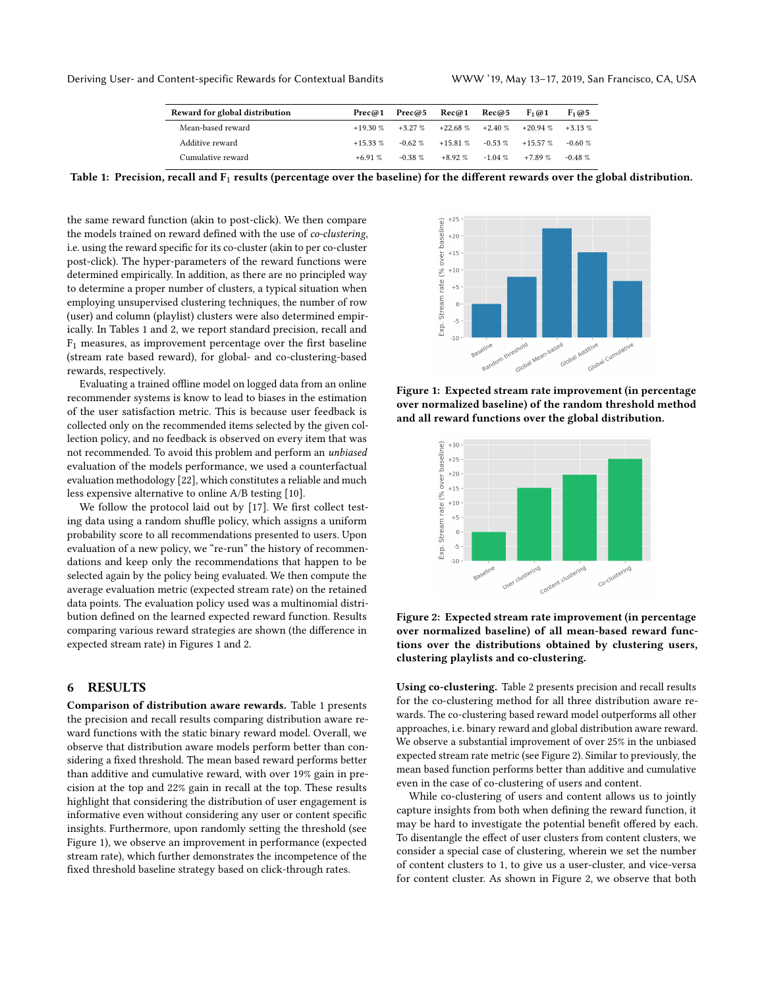| Reward for global distribution | Prec@1     |           | $Prec@5$ $Rec@1$               | Rec@5     | $F_1@1$   | $F_1@5$    |
|--------------------------------|------------|-----------|--------------------------------|-----------|-----------|------------|
| Mean-based reward              | $+19.30%$  |           | $+3.27\%$ $+22.68\%$ $+2.40\%$ |           | $+20.94%$ | $+3.13\%$  |
| Additive reward                | $+15.33\%$ | $-0.62\%$ | $+15.81\%$ $-0.53\%$           |           | $+15.57%$ | $-0.60 \%$ |
| Cumulative reward              | $+691%$    | $-0.38$ % | $+8.92\%$                      | $-1.04\%$ | $+789%$   | $-0.48\%$  |
|                                |            |           |                                |           |           |            |

<span id="page-4-0"></span>Table 1: Precision, recall and  $F_1$  results (percentage over the baseline) for the different rewards over the global distribution.

the same reward function (akin to post-click). We then compare the models trained on reward defined with the use of co-clustering, i.e. using the reward specific for its co-cluster (akin to per co-cluster post-click). The hyper-parameters of the reward functions were determined empirically. In addition, as there are no principled way to determine a proper number of clusters, a typical situation when employing unsupervised clustering techniques, the number of row (user) and column (playlist) clusters were also determined empirically. In Tables [1](#page-4-0) and [2,](#page-5-0) we report standard precision, recall and F1 measures, as improvement percentage over the first baseline (stream rate based reward), for global- and co-clustering-based rewards, respectively.

Evaluating a trained offline model on logged data from an online recommender systems is know to lead to biases in the estimation of the user satisfaction metric. This is because user feedback is collected only on the recommended items selected by the given collection policy, and no feedback is observed on every item that was not recommended. To avoid this problem and perform an unbiased evaluation of the models performance, we used a counterfactual evaluation methodology [\[22\]](#page-6-26), which constitutes a reliable and much less expensive alternative to online A/B testing [\[10\]](#page-6-27).

We follow the protocol laid out by [\[17\]](#page-6-1). We first collect testing data using a random shuffle policy, which assigns a uniform probability score to all recommendations presented to users. Upon evaluation of a new policy, we "re-run" the history of recommendations and keep only the recommendations that happen to be selected again by the policy being evaluated. We then compute the average evaluation metric (expected stream rate) on the retained data points. The evaluation policy used was a multinomial distribution defined on the learned expected reward function. Results comparing various reward strategies are shown (the difference in expected stream rate) in Figures [1](#page-4-1) and [2.](#page-4-2)

#### 6 RESULTS

Comparison of distribution aware rewards. Table [1](#page-4-0) presents the precision and recall results comparing distribution aware reward functions with the static binary reward model. Overall, we observe that distribution aware models perform better than considering a fixed threshold. The mean based reward performs better than additive and cumulative reward, with over 19% gain in precision at the top and 22% gain in recall at the top. These results highlight that considering the distribution of user engagement is informative even without considering any user or content specific insights. Furthermore, upon randomly setting the threshold (see Figure [1\)](#page-4-1), we observe an improvement in performance (expected stream rate), which further demonstrates the incompetence of the fixed threshold baseline strategy based on click-through rates.

<span id="page-4-1"></span>

Figure 1: Expected stream rate improvement (in percentage over normalized baseline) of the random threshold method and all reward functions over the global distribution.

<span id="page-4-2"></span>

Figure 2: Expected stream rate improvement (in percentage over normalized baseline) of all mean-based reward functions over the distributions obtained by clustering users, clustering playlists and co-clustering.

Using co-clustering. Table [2](#page-5-0) presents precision and recall results for the co-clustering method for all three distribution aware rewards. The co-clustering based reward model outperforms all other approaches, i.e. binary reward and global distribution aware reward. We observe a substantial improvement of over 25% in the unbiased expected stream rate metric (see Figure [2\)](#page-4-2). Similar to previously, the mean based function performs better than additive and cumulative even in the case of co-clustering of users and content.

While co-clustering of users and content allows us to jointly capture insights from both when defining the reward function, it may be hard to investigate the potential benefit offered by each. To disentangle the effect of user clusters from content clusters, we consider a special case of clustering, wherein we set the number of content clusters to 1, to give us a user-cluster, and vice-versa for content cluster. As shown in Figure [2,](#page-4-2) we observe that both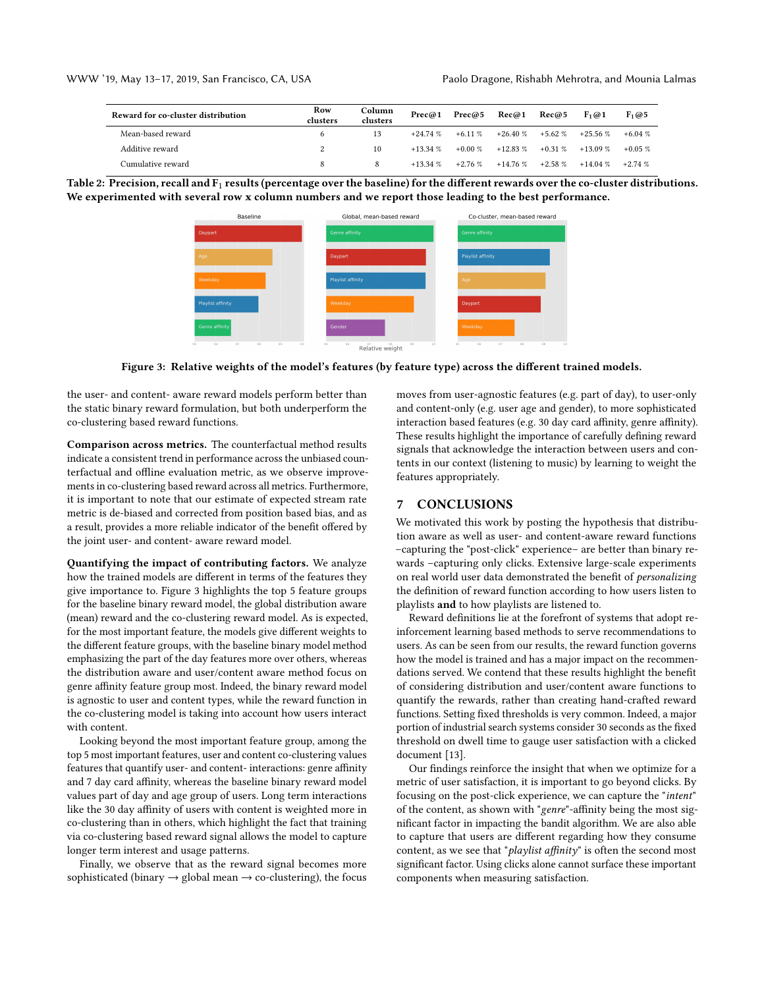<span id="page-5-0"></span>

| Reward for co-cluster distribution | Row<br>clusters | Column<br>clusters | Prec@1     | Prec@5    | Rec@1      | Rec@5     | $F_1@1$            | $F_1$ @ 5 |
|------------------------------------|-----------------|--------------------|------------|-----------|------------|-----------|--------------------|-----------|
| Mean-based reward                  |                 |                    | $+24.74%$  | $+6.11\%$ | $+26.40%$  | $+5.62\%$ | $+25.56\%$         | $+6.04\%$ |
| Additive reward                    |                 | 10                 | $+13.34\%$ | $+0.00\%$ | $+12.83\%$ |           | $+0.31\% +13.09\%$ | $+0.05\%$ |
| Cumulative reward                  |                 |                    | $+13.34\%$ | $+2.76%$  | $+14.76%$  | $+2.58\%$ | $+14.04%$          | $+2.74%$  |

<span id="page-5-1"></span>



Figure 3: Relative weights of the model's features (by feature type) across the different trained models.

the user- and content- aware reward models perform better than the static binary reward formulation, but both underperform the co-clustering based reward functions.

Comparison across metrics. The counterfactual method results indicate a consistent trend in performance across the unbiased counterfactual and offline evaluation metric, as we observe improvements in co-clustering based reward across all metrics. Furthermore, it is important to note that our estimate of expected stream rate metric is de-biased and corrected from position based bias, and as a result, provides a more reliable indicator of the benefit offered by the joint user- and content- aware reward model.

Quantifying the impact of contributing factors. We analyze how the trained models are different in terms of the features they give importance to. Figure [3](#page-5-1) highlights the top 5 feature groups for the baseline binary reward model, the global distribution aware (mean) reward and the co-clustering reward model. As is expected, for the most important feature, the models give different weights to the different feature groups, with the baseline binary model method emphasizing the part of the day features more over others, whereas the distribution aware and user/content aware method focus on genre affinity feature group most. Indeed, the binary reward model is agnostic to user and content types, while the reward function in the co-clustering model is taking into account how users interact with content.

Looking beyond the most important feature group, among the top 5 most important features, user and content co-clustering values features that quantify user- and content- interactions: genre affinity and 7 day card affinity, whereas the baseline binary reward model values part of day and age group of users. Long term interactions like the 30 day affinity of users with content is weighted more in co-clustering than in others, which highlight the fact that training via co-clustering based reward signal allows the model to capture longer term interest and usage patterns.

Finally, we observe that as the reward signal becomes more sophisticated (binary  $\rightarrow$  global mean  $\rightarrow$  co-clustering), the focus moves from user-agnostic features (e.g. part of day), to user-only and content-only (e.g. user age and gender), to more sophisticated interaction based features (e.g. 30 day card affinity, genre affinity). These results highlight the importance of carefully defining reward signals that acknowledge the interaction between users and contents in our context (listening to music) by learning to weight the features appropriately.

### 7 CONCLUSIONS

We motivated this work by posting the hypothesis that distribution aware as well as user- and content-aware reward functions –capturing the "post-click" experience– are better than binary rewards –capturing only clicks. Extensive large-scale experiments on real world user data demonstrated the benefit of personalizing the definition of reward function according to how users listen to playlists and to how playlists are listened to.

Reward definitions lie at the forefront of systems that adopt reinforcement learning based methods to serve recommendations to users. As can be seen from our results, the reward function governs how the model is trained and has a major impact on the recommendations served. We contend that these results highlight the benefit of considering distribution and user/content aware functions to quantify the rewards, rather than creating hand-crafted reward functions. Setting fixed thresholds is very common. Indeed, a major portion of industrial search systems consider 30 seconds as the fixed threshold on dwell time to gauge user satisfaction with a clicked document [\[13\]](#page-6-28).

Our findings reinforce the insight that when we optimize for a metric of user satisfaction, it is important to go beyond clicks. By focusing on the post-click experience, we can capture the "intent" of the content, as shown with "genre"-affinity being the most significant factor in impacting the bandit algorithm. We are also able to capture that users are different regarding how they consume content, as we see that "playlist affinity" is often the second most significant factor. Using clicks alone cannot surface these important components when measuring satisfaction.